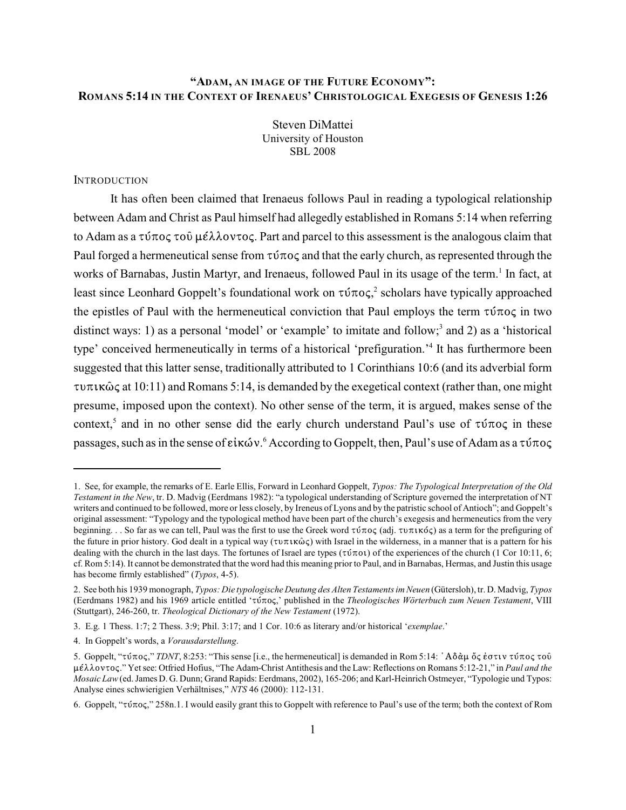# **"ADAM, AN IMAGE OF THE FUTURE ECONOMY": ROMANS 5:14 IN THE CONTEXT OF IRENAEUS' CHRISTOLOGICAL EXEGESIS OF GENESIS 1:26**

Steven DiMattei University of Houston SBL 2008

# **INTRODUCTION**

It has often been claimed that Irenaeus follows Paul in reading a typological relationship between Adam and Christ as Paul himself had allegedly established in Romans 5:14 when referring to Adam as a  $\tau \nu \pi o \varsigma \tau o \nu \epsilon \lambda \lambda o \nu \tau o \varsigma$ . Part and parcel to this assessment is the analogous claim that Paul forged a hermeneutical sense from  $\tau \nu \pi o \varsigma$  and that the early church, as represented through the works of Barnabas, Justin Martyr, and Irenaeus, followed Paul in its usage of the term.<sup>1</sup> In fact, at least since Leonhard Goppelt's foundational work on  $\tau \nu \pi o \varsigma$ , scholars have typically approached the epistles of Paul with the hermeneutical conviction that Paul employs the term  $\tau \nu \pi o \varsigma$  in two distinct ways: 1) as a personal 'model' or 'example' to imitate and follow;<sup>3</sup> and 2) as a 'historical type' conceived hermeneutically in terms of a historical 'prefiguration.'<sup>4</sup> It has furthermore been suggested that this latter sense, traditionally attributed to 1 Corinthians 10:6 (and its adverbial form  $\tau$ u $\pi$ k $\hat{\omega}$  $\zeta$  at 10:11) and Romans 5:14, is demanded by the exegetical context (rather than, one might presume, imposed upon the context). No other sense of the term, it is argued, makes sense of the context,<sup>5</sup> and in no other sense did the early church understand Paul's use of  $\tau \nu \pi o \varsigma$  in these passages, such as in the sense of  $\epsilon$ ik $\acute{\omega}v$ .<sup>6</sup> According to Goppelt, then, Paul's use of Adam as a  $\tau\acute{\nu}\pi$ o $\varsigma$ 

<sup>1.</sup> See, for example, the remarks of E. Earle Ellis, Forward in Leonhard Goppelt, *Typos: The Typological Interpretation of the Old Testament in the New*, tr. D. Madvig (Eerdmans 1982): "a typological understanding of Scripture governed the interpretation of NT writers and continued to be followed, more or less closely, by Ireneus of Lyons and by the patristic school of Antioch"; and Goppelt's original assessment: "Typology and the typological method have been part of the church's exegesis and hermeneutics from the very beginning. . . So far as we can tell, Paul was the first to use the Greek word  $\tau \nu \pi \nu \sigma \zeta$  (adj.  $\tau \nu \pi \nu \nu \sigma \zeta$ ) as a term for the prefiguring of the future in prior history. God dealt in a typical way ( $\tau \nu \pi \nu \kappa \hat{\omega} \varsigma$ ) with Israel in the wilderness, in a manner that is a pattern for his dealing with the church in the last days. The fortunes of Israel are types ( $\tau \tilde{\nu} \pi o \nu$ ) of the experiences of the church (1 Cor 10:11, 6; cf. Rom 5:14). It cannot be demonstrated that the word had this meaning prior to Paul, and in Barnabas, Hermas, and Justin this usage has become firmly established" (*Typos*, 4-5).

<sup>2.</sup> See both his 1939 monograph, *Typos: Die typologische Deutung des Alten Testaments im Neuen* (Gütersloh), tr. D. Madvig, *Typos* (Eerdmans 1982) and his 1969 article entitled 'τύπος,' published in the *Theologisches Wörterbuch zum Neuen Testament*, VIII (Stuttgart), 246-260, tr. *Theological Dictionary of the New Testament* (1972).

<sup>3.</sup> E.g. 1 Thess. 1:7; 2 Thess. 3:9; Phil. 3:17; and 1 Cor. 10:6 as literary and/or historical '*exemplae*.'

<sup>4.</sup> In Goppelt's words, a *Vorausdarstellung*.

<sup>5.</sup> Goppelt, "τύπος," *TDNT*, 8:253: "This sense [i.e., the hermeneutical] is demanded in Rom 5:14: 'Αδὰμ ὄς ἐστιν τύπος τοῦ μέλλοντος." Yet see: Otfried Hofius, "The Adam-Christ Antithesis and the Law: Reflections on Romans 5:12-21," in *Paul and the Mosaic Law*(ed. James D. G. Dunn; Grand Rapids: Eerdmans, 2002), 165-206; and Karl-Heinrich Ostmeyer, "Typologie und Typos: Analyse eines schwierigien Verhältnises," *NTS* 46 (2000): 112-131.

<sup>6.</sup> Goppelt, " $\tau$   $\tau$   $\tau$   $\sigma$   $\sigma$ "  $\tau$   $\sigma$   $\tau$   $\sigma$   $\tau$   $\sigma$   $\tau$  and easily grant this to Goppelt with reference to Paul's use of the term; both the context of Rom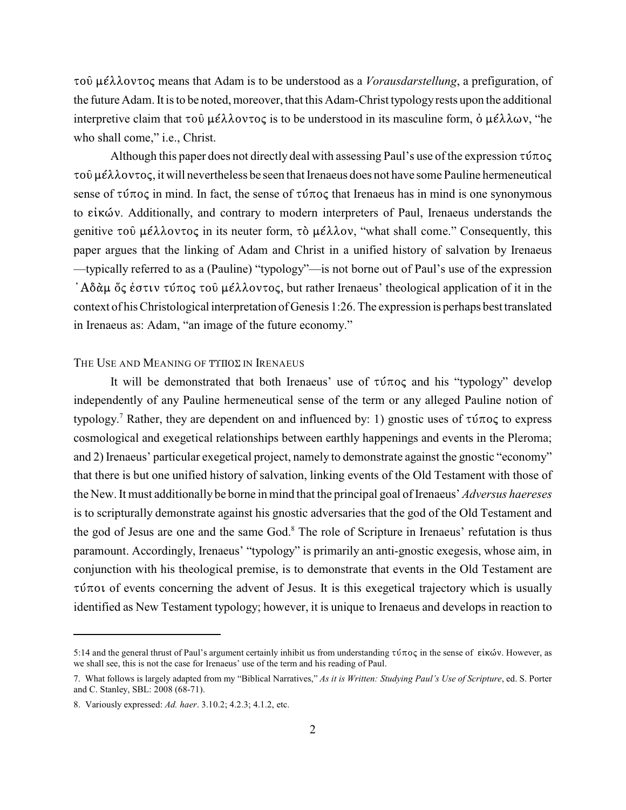τού μέλλοντος means that Adam is to be understood as a *Vorausdarstellung*, a prefiguration, of the future Adam. It is to be noted, moreover, that this Adam-Christ typologyrests upon the additional interpretive claim that  $\tau \circ \mathbf{0}$   $\mu \in \lambda \lambda \circ \nu \tau \circ \varsigma$  is to be understood in its masculine form,  $\dot{\mathbf{0}}$   $\mu \in \lambda \lambda \omega \nu$ , "he who shall come," *i.e.*, Christ.

Although this paper does not directly deal with assessing Paul's use of the expression  $\tau \nu \pi o \varsigma$  $\tau$ o $\hat{\nu}$   $\mu\epsilon\lambda\lambda$ ov $\tau$ o $\varsigma$ , it will nevertheless be seen that Irenaeus does not have some Pauline hermeneutical sense of  $\tau \nu \pi \sigma \varsigma$  in mind. In fact, the sense of  $\tau \nu \pi \sigma \varsigma$  that Irenaeus has in mind is one synonymous to είκών. Additionally, and contrary to modern interpreters of Paul, Irenaeus understands the genitive  $\tau$ oû  $\mu \in \lambda \lambda$ ov $\tau$ o $\zeta$  in its neuter form,  $\tau \delta \mu \in \lambda \lambda$ ov, "what shall come." Consequently, this paper argues that the linking of Adam and Christ in a unified history of salvation by Irenaeus —typically referred to as a (Pauline) "typology"—is not borne out of Paul's use of the expression  $i^*$ Aδάμ ὄς έστιν τύπος τοῦ μέλλοντος, but rather Irenaeus' theological application of it in the context of his Christological interpretation of Genesis 1:26. The expression is perhaps best translated in Irenaeus as: Adam, "an image of the future economy."

# THE USE AND MEANING OF TYHOZ IN IRENAEUS

It will be demonstrated that both Irenaeus' use of  $\tau \nu \pi o \varsigma$  and his "typology" develop independently of any Pauline hermeneutical sense of the term or any alleged Pauline notion of typology.<sup>7</sup> Rather, they are dependent on and influenced by: 1) gnostic uses of  $\tau \nu \tau o \varsigma$  to express cosmological and exegetical relationships between earthly happenings and events in the Pleroma; and 2) Irenaeus' particular exegetical project, namely to demonstrate against the gnostic "economy" that there is but one unified history of salvation, linking events of the Old Testament with those of the New. It must additionallybe borne in mind that the principal goal of Irenaeus' *Adversus haereses* is to scripturally demonstrate against his gnostic adversaries that the god of the Old Testament and the god of Jesus are one and the same God.<sup>8</sup> The role of Scripture in Irenaeus' refutation is thus paramount. Accordingly, Irenaeus' "typology" is primarily an anti-gnostic exegesis, whose aim, in conjunction with his theological premise, is to demonstrate that events in the Old Testament are  $\tau$ ú $\pi$ ot of events concerning the advent of Jesus. It is this exegetical trajectory which is usually identified as New Testament typology; however, it is unique to Irenaeus and develops in reaction to

<sup>5:14</sup> and the general thrust of Paul's argument certainly inhibit us from understanding  $\tau \nu \tau o \varsigma$  in the sense of εἰκών. However, as we shall see, this is not the case for Irenaeus' use of the term and his reading of Paul.

<sup>7.</sup> What follows is largely adapted from my "Biblical Narratives," *As it is Written: Studying Paul's Use of Scripture*, ed. S. Porter and C. Stanley, SBL: 2008 (68-71).

<sup>8.</sup> Variously expressed: *Ad. haer*. 3.10.2; 4.2.3; 4.1.2, etc.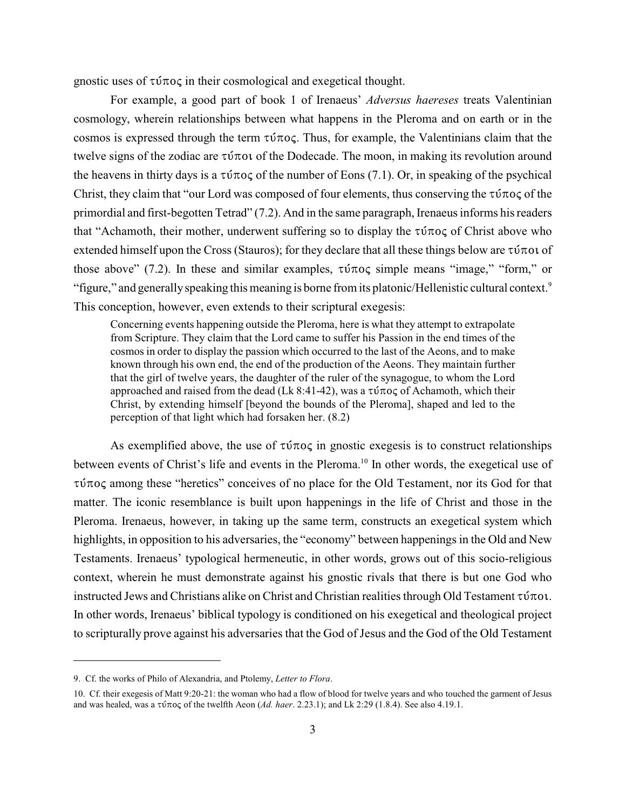gnostic uses of  $\tau \nu \pi o \varsigma$  in their cosmological and exegetical thought.

For example, a good part of book 1 of Irenaeus' *Adversus haereses* treats Valentinian cosmology, wherein relationships between what happens in the Pleroma and on earth or in the cosmos is expressed through the term  $\tau \nu \pi o \varsigma$ . Thus, for example, the Valentinians claim that the twelve signs of the zodiac are  $\tau \nu \tau$  of the Dodecade. The moon, in making its revolution around the heavens in thirty days is a  $\tau \nu \tau o \varsigma$  of the number of Eons (7.1). Or, in speaking of the psychical Christ, they claim that "our Lord was composed of four elements, thus conserving the  $\tau\dot{\nu}\tau$ oc of the primordial and first-begotten Tetrad" (7.2). And in the same paragraph, Irenaeus informs his readers that "Achamoth, their mother, underwent suffering so to display the  $\tau \nu \tau o \varsigma$  of Christ above who extended himself upon the Cross (Stauros); for they declare that all these things below are  $\tau \nu \pi o \nu$  of those above" (7.2). In these and similar examples,  $\tau \nu \tau o \varsigma$  simple means "image," "form," or "figure," and generally speaking this meaning is borne from its platonic/Hellenistic cultural context.<sup>9</sup> This conception, however, even extends to their scriptural exegesis:

Concerning events happening outside the Pleroma, here is what they attempt to extrapolate from Scripture. They claim that the Lord came to suffer his Passion in the end times of the cosmos in order to display the passion which occurred to the last of the Aeons, and to make known through his own end, the end of the production of the Aeons. They maintain further that the girl of twelve years, the daughter of the ruler of the synagogue, to whom the Lord approached and raised from the dead (Lk 8:41-42), was a  $\tau\acute{\nu}\tau$  of Achamoth, which their Christ, by extending himself [beyond the bounds of the Pleroma], shaped and led to the perception of that light which had forsaken her. (8.2)

As exemplified above, the use of  $\tau\dot{\nu}\pi$  in gnostic exeges is to construct relationships between events of Christ's life and events in the Pleroma.<sup>10</sup> In other words, the exegetical use of  $\tau \nu$  among these "heretics" conceives of no place for the Old Testament, nor its God for that matter. The iconic resemblance is built upon happenings in the life of Christ and those in the Pleroma. Irenaeus, however, in taking up the same term, constructs an exegetical system which highlights, in opposition to his adversaries, the "economy" between happenings in the Old and New Testaments. Irenaeus' typological hermeneutic, in other words, grows out of this socio-religious context, wherein he must demonstrate against his gnostic rivals that there is but one God who instructed Jews and Christians alike on Christ and Christian realities through Old Testament  $\tau \nu \pi o \nu$ . In other words, Irenaeus' biblical typology is conditioned on his exegetical and theological project to scripturally prove against his adversaries that the God of Jesus and the God of the Old Testament

<sup>9.</sup> Cf. the works of Philo of Alexandria, and Ptolemy, *Letter to Flora*.

<sup>10.</sup> Cf. their exegesis of Matt 9:20-21: the woman who had a flow of blood for twelve years and who touched the garment of Jesus and was healed, was a  $\tau\acute{\nu}\tau$ o<sub>s</sub> of the twelfth Aeon (*Ad. haer.* 2.23.1); and Lk 2:29 (1.8.4). See also 4.19.1.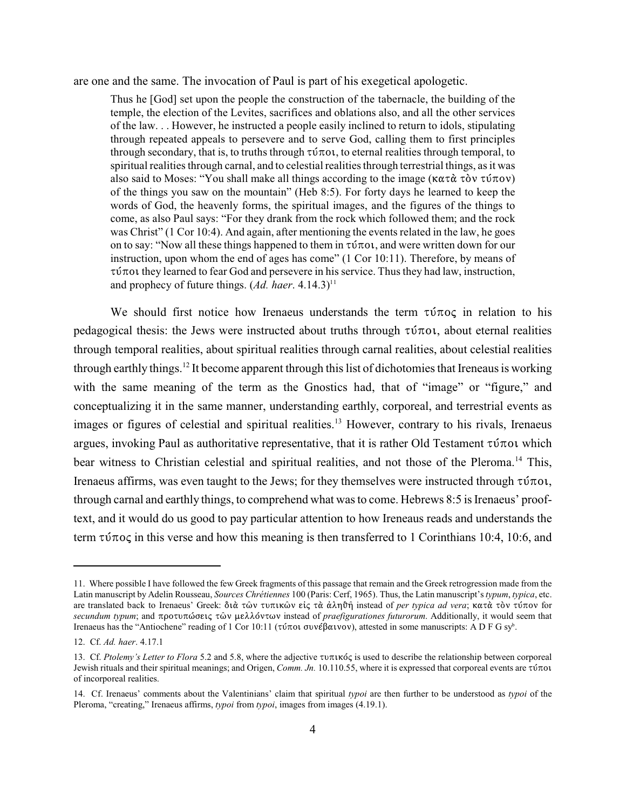are one and the same. The invocation of Paul is part of his exegetical apologetic.

Thus he [God] set upon the people the construction of the tabernacle, the building of the temple, the election of the Levites, sacrifices and oblations also, and all the other services of the law. . . However, he instructed a people easily inclined to return to idols, stipulating through repeated appeals to persevere and to serve God, calling them to first principles through secondary, that is, to truths through  $\tau \nu \tau o \tau$ , to eternal realities through temporal, to spiritual realities through carnal, and to celestial realities through terrestrial things, as it was also said to Moses: "You shall make all things according to the image ( $\kappa \alpha \tau \alpha \tau \delta \nu \tau \delta \nu$ ) of the things you saw on the mountain" (Heb 8:5). For forty days he learned to keep the words of God, the heavenly forms, the spiritual images, and the figures of the things to come, as also Paul says: "For they drank from the rock which followed them; and the rock was Christ" (1 Cor 10:4). And again, after mentioning the events related in the law, he goes on to say: "Now all these things happened to them in  $\tau \nu \tau o \nu t$ , and were written down for our instruction, upon whom the end of ages has come" (1 Cor 10:11). Therefore, by means of  $\tau$  to  $\tau$  they learned to fear God and persevere in his service. Thus they had law, instruction, and prophecy of future things.  $(Ad.~h aer.~4.14.3)^{11}$ 

We should first notice how Irenaeus understands the term  $\tau \tilde{\nu} \pi o \varsigma$  in relation to his pedagogical thesis: the Jews were instructed about truths through  $\tau \nu \pi o \nu$ , about eternal realities through temporal realities, about spiritual realities through carnal realities, about celestial realities through earthly things.<sup>12</sup> It become apparent through this list of dichotomies that Ireneaus is working with the same meaning of the term as the Gnostics had, that of "image" or "figure," and conceptualizing it in the same manner, understanding earthly, corporeal, and terrestrial events as images or figures of celestial and spiritual realities.<sup>13</sup> However, contrary to his rivals, Irenaeus argues, invoking Paul as authoritative representative, that it is rather Old Testament  $\tau \nu \tau o \nu$  which bear witness to Christian celestial and spiritual realities, and not those of the Pleroma.<sup>14</sup> This, Irenaeus affirms, was even taught to the Jews; for they themselves were instructed through  $\tau$ ύποι, through carnal and earthly things, to comprehend what was to come. Hebrews 8:5 is Irenaeus' prooftext, and it would do us good to pay particular attention to how Ireneaus reads and understands the term  $\tau \nu \pi$  in this verse and how this meaning is then transferred to 1 Corinthians 10:4, 10:6, and

<sup>11.</sup> Where possible I have followed the few Greek fragments of this passage that remain and the Greek retrogression made from the Latin manuscript by Adelin Rousseau, *Sources Chrétiennes* 100 (Paris: Cerf, 1965). Thus, the Latin manuscript's *typum*, *typica*, etc. are translated back to Irenaeus' Greek: διὰ τῶν τυπικῶν εἰς τὰ ἀληθῆ instead of *per typica ad vera*; κατὰ τὸν τύπον for *secundum typum*; and προτυπώσεις τῶν μελλόντων instead of *praefigurationes futurorum*. Additionally, it would seem that Irenaeus has the "Antiochene" reading of 1 Cor 10:11 (τύποι συνέβαινον), attested in some manuscripts: A D F G sy<sup>b</sup>.

<sup>12.</sup> Cf. *Ad. haer*. 4.17.1

<sup>13.</sup> Cf. *Ptolemy's Letter to Flora* 5.2 and 5.8, where the adjective τυπικός is used to describe the relationship between corporeal Jewish rituals and their spiritual meanings; and Origen, *Comm. Jn.* 10.110.55, where it is expressed that corporeal events are τύποι of incorporeal realities.

<sup>14.</sup> Cf. Irenaeus' comments about the Valentinians' claim that spiritual *typoi* are then further to be understood as *typoi* of the Pleroma, "creating," Irenaeus affirms, *typoi* from *typoi*, images from images (4.19.1).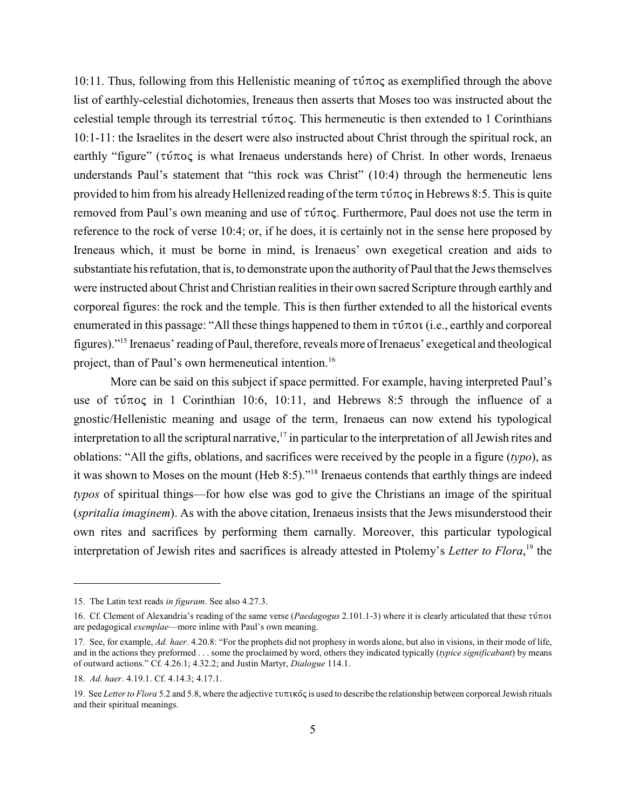10:11. Thus, following from this Hellenistic meaning of  $\tau \nu \pi \sigma \zeta$  as exemplified through the above list of earthly-celestial dichotomies, Ireneaus then asserts that Moses too was instructed about the celestial temple through its terrestrial  $\tau \nu \tau o \varsigma$ . This hermeneutic is then extended to 1 Corinthians 10:1-11: the Israelites in the desert were also instructed about Christ through the spiritual rock, an earthly "figure" ( $\tau$ ύπος is what Irenaeus understands here) of Christ. In other words, Irenaeus understands Paul's statement that "this rock was Christ" (10:4) through the hermeneutic lens provided to him from his already Hellenized reading of the term  $\tau \nu \tau o \varsigma$  in Hebrews 8:5. This is quite removed from Paul's own meaning and use of  $\tau \nu \tau o \varsigma$ . Furthermore, Paul does not use the term in reference to the rock of verse 10:4; or, if he does, it is certainly not in the sense here proposed by Ireneaus which, it must be borne in mind, is Irenaeus' own exegetical creation and aids to substantiate his refutation, that is, to demonstrate upon the authority of Paul that the Jews themselves were instructed about Christ and Christian realities in their own sacred Scripture through earthly and corporeal figures: the rock and the temple. This is then further extended to all the historical events enumerated in this passage: "All these things happened to them in  $\tau \nu \tau o \nu$  (i.e., earthly and corporeal figures)."<sup>15</sup> Irenaeus' reading of Paul, therefore, reveals more of Irenaeus' exegetical and theological project, than of Paul's own hermeneutical intention.<sup>16</sup>

More can be said on this subject if space permitted. For example, having interpreted Paul's use of  $\tau$ ύπος in 1 Corinthian 10:6, 10:11, and Hebrews 8:5 through the influence of a gnostic/Hellenistic meaning and usage of the term, Irenaeus can now extend his typological interpretation to all the scriptural narrative,  $\frac{1}{7}$  in particular to the interpretation of all Jewish rites and oblations: "All the gifts, oblations, and sacrifices were received by the people in a figure (*typo*), as it was shown to Moses on the mount (Heb 8:5)."<sup>18</sup> Irenaeus contends that earthly things are indeed *typos* of spiritual things—for how else was god to give the Christians an image of the spiritual (*spritalia imaginem*). As with the above citation, Irenaeus insists that the Jews misunderstood their own rites and sacrifices by performing them carnally. Moreover, this particular typological interpretation of Jewish rites and sacrifices is already attested in Ptolemy's *Letter to Flora*,<sup>19</sup> the

<sup>15.</sup> The Latin text reads *in figuram*. See also 4.27.3.

<sup>16.</sup> Cf. Clement of Alexandria's reading of the same verse (*Paedagogus* 2.101.1-3) where it is clearly articulated that these τύποι are pedagogical *exemplae*—more inline with Paul's own meaning.

<sup>17.</sup> See, for example, *Ad. haer*. 4.20.8: "For the prophets did not prophesy in words alone, but also in visions, in their mode of life, and in the actions they preformed . . . some the proclaimed by word, others they indicated typically (*typice significabant*) by means of outward actions." Cf. 4.26.1; 4.32.2; and Justin Martyr, *Dialogue* 114.1.

<sup>18.</sup> *Ad. haer*. 4.19.1. Cf. 4.14.3; 4.17.1.

<sup>19.</sup> See *Letter to Flora* 5.2 and 5.8, where the adjective  $\tau$ u $\pi$ uxó $\zeta$  is used to describe the relationship between corporeal Jewish rituals and their spiritual meanings.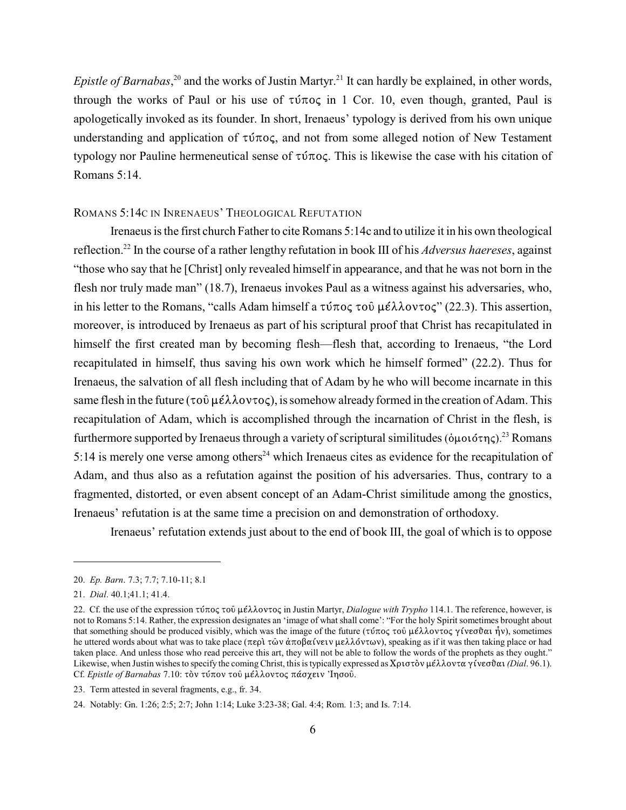*Epistle of Barnabas*,<sup>20</sup> and the works of Justin Martyr.<sup>21</sup> It can hardly be explained, in other words, through the works of Paul or his use of  $\tau \nu \pi \sigma \varsigma$  in 1 Cor. 10, even though, granted, Paul is apologetically invoked as its founder. In short, Irenaeus' typology is derived from his own unique understanding and application of  $\tau\dot{\nu}\pi$ oc, and not from some alleged notion of New Testament typology nor Pauline hermeneutical sense of  $\tau \nu \pi o \varsigma$ . This is likewise the case with his citation of Romans 5:14.

#### ROMANS 5:14C IN INRENAEUS' THEOLOGICAL REFUTATION

Irenaeus is the first church Father to cite Romans 5:14c and to utilize it in his own theological reflection.<sup>22</sup> In the course of a rather lengthy refutation in book III of his *Adversus haereses*, against "those who say that he [Christ] only revealed himself in appearance, and that he was not born in the flesh nor truly made man" (18.7), Irenaeus invokes Paul as a witness against his adversaries, who, in his letter to the Romans, "calls Adam himself a  $\tau \nu \pi o \varsigma \tau o \bar{\nu} \mu \epsilon \lambda \lambda o \nu \tau o \varsigma$ " (22.3). This assertion, moreover, is introduced by Irenaeus as part of his scriptural proof that Christ has recapitulated in himself the first created man by becoming flesh—flesh that, according to Irenaeus, "the Lord recapitulated in himself, thus saving his own work which he himself formed" (22.2). Thus for Irenaeus, the salvation of all flesh including that of Adam by he who will become incarnate in this same flesh in the future ( $\tau \circ \hat{v}$   $\mu \in \lambda \lambda \text{ov} \tau o \varsigma$ ), is somehow already formed in the creation of Adam. This recapitulation of Adam, which is accomplished through the incarnation of Christ in the flesh, is furthermore supported by Irenaeus through a variety of scriptural similitudes ( $\delta \mu$ 016 $\tau \eta \zeta$ ). <sup>23</sup> Romans 5:14 is merely one verse among others<sup>24</sup> which Irenaeus cites as evidence for the recapitulation of Adam, and thus also as a refutation against the position of his adversaries. Thus, contrary to a fragmented, distorted, or even absent concept of an Adam-Christ similitude among the gnostics, Irenaeus' refutation is at the same time a precision on and demonstration of orthodoxy.

Irenaeus' refutation extends just about to the end of book III, the goal of which is to oppose

<sup>20.</sup> *Ep. Barn*. 7.3; 7.7; 7.10-11; 8.1

<sup>21.</sup> *Dial*. 40.1;41.1; 41.4.

<sup>22.</sup> Cf. the use of the expression τύπος τοῦ μέλλοντος in Justin Martyr, *Dialogue with Trypho* 114.1. The reference, however, is not to Romans 5:14. Rather, the expression designates an 'image of what shall come': "For the holy Spirit sometimes brought about that something should be produced visibly, which was the image of the future (τύπος του μέλλοντος γίνεσθαι ήν), sometimes he uttered words about what was to take place (περὶ τῶν ἀποβαίνειν μελλόντων), speaking as if it was then taking place or had taken place. And unless those who read perceive this art, they will not be able to follow the words of the prophets as they ought." Likewise, when Justin wishes to specify the coming Christ, this is typically expressed as  $X\rho\iota\sigma\delta v \mu\epsilon\lambda\lambda\sigma v\tau\alpha\gamma\dot{\gamma}\nu\epsilon\sigma\delta\alpha$  (*Dial.* 96.1). Cf. *Epistle of Barnabas* 7.10: τον τύπον του μέλλοντος πάσχειν 'Ιησου.

<sup>23.</sup> Term attested in several fragments, e.g., fr. 34.

<sup>24.</sup> Notably: Gn. 1:26; 2:5; 2:7; John 1:14; Luke 3:23-38; Gal. 4:4; Rom. 1:3; and Is. 7:14.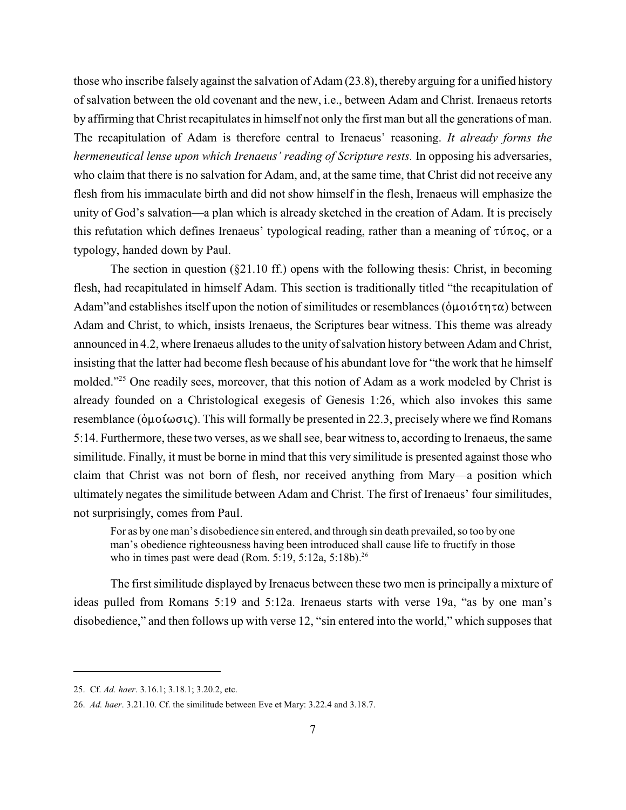those who inscribe falsely against the salvation of Adam (23.8), thereby arguing for a unified history of salvation between the old covenant and the new, i.e., between Adam and Christ. Irenaeus retorts by affirming that Christ recapitulates in himself not only the first man but all the generations of man. The recapitulation of Adam is therefore central to Irenaeus' reasoning. *It already forms the hermeneutical lense upon which Irenaeus' reading of Scripture rests.* In opposing his adversaries, who claim that there is no salvation for Adam, and, at the same time, that Christ did not receive any flesh from his immaculate birth and did not show himself in the flesh, Irenaeus will emphasize the unity of God's salvation—a plan which is already sketched in the creation of Adam. It is precisely this refutation which defines Irenaeus' typological reading, rather than a meaning of  $\tau\dot{\nu}\pi$ oc, or a typology, handed down by Paul.

The section in question ( $\S21.10$  ff.) opens with the following thesis: Christ, in becoming flesh, had recapitulated in himself Adam. This section is traditionally titled "the recapitulation of Adam"and establishes itself upon the notion of similitudes or resemblances ( $\phi$ μοιότητα) between Adam and Christ, to which, insists Irenaeus, the Scriptures bear witness. This theme was already announced in 4.2, where Irenaeus alludes to the unity of salvation history between Adam and Christ, insisting that the latter had become flesh because of his abundant love for "the work that he himself molded."<sup>25</sup> One readily sees, moreover, that this notion of Adam as a work modeled by Christ is already founded on a Christological exegesis of Genesis 1:26, which also invokes this same resemblance ( $\phi\mu o \mathfrak{t} \omega \sigma \mathfrak{t}$ ). This will formally be presented in 22.3, precisely where we find Romans 5:14. Furthermore, these two verses, as we shall see, bear witness to, according to Irenaeus, the same similitude. Finally, it must be borne in mind that this very similitude is presented against those who claim that Christ was not born of flesh, nor received anything from Mary—a position which ultimately negates the similitude between Adam and Christ. The first of Irenaeus' four similitudes, not surprisingly, comes from Paul.

For as by one man's disobedience sin entered, and through sin death prevailed, so too by one man's obedience righteousness having been introduced shall cause life to fructify in those who in times past were dead (Rom. 5:19, 5:12a, 5:18b).<sup>26</sup>

The first similitude displayed by Irenaeus between these two men is principally a mixture of ideas pulled from Romans 5:19 and 5:12a. Irenaeus starts with verse 19a, "as by one man's disobedience," and then follows up with verse 12, "sin entered into the world," which supposes that

<sup>25.</sup> Cf. *Ad. haer*. 3.16.1; 3.18.1; 3.20.2, etc.

<sup>26.</sup> *Ad. haer*. 3.21.10. Cf. the similitude between Eve et Mary: 3.22.4 and 3.18.7.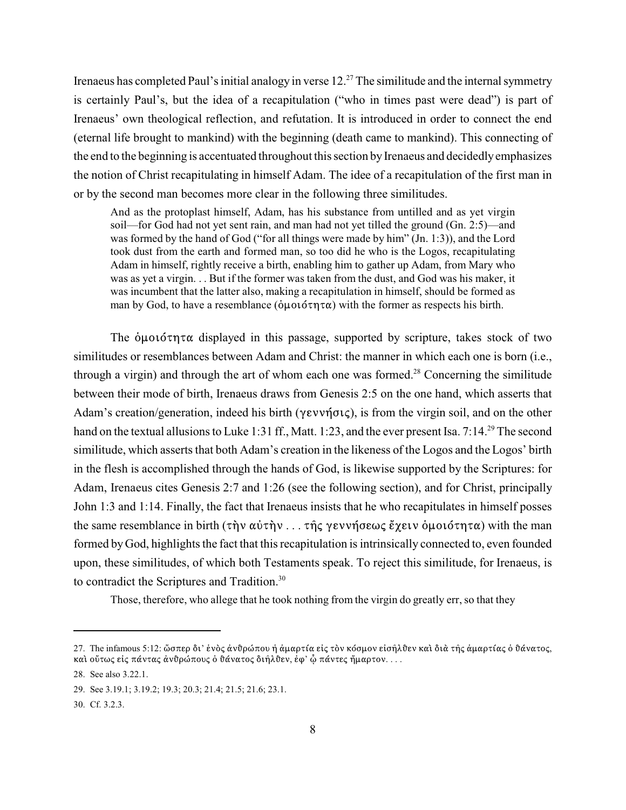Irenaeus has completed Paul's initial analogy in verse  $12<sup>27</sup>$  The similitude and the internal symmetry is certainly Paul's, but the idea of a recapitulation ("who in times past were dead") is part of Irenaeus' own theological reflection, and refutation. It is introduced in order to connect the end (eternal life brought to mankind) with the beginning (death came to mankind). This connecting of the end to the beginning is accentuated throughout this section by Irenaeus and decidedly emphasizes the notion of Christ recapitulating in himself Adam. The idee of a recapitulation of the first man in or by the second man becomes more clear in the following three similitudes.

And as the protoplast himself, Adam, has his substance from untilled and as yet virgin soil—for God had not yet sent rain, and man had not yet tilled the ground (Gn. 2:5)—and was formed by the hand of God ("for all things were made by him" (Jn. 1:3)), and the Lord took dust from the earth and formed man, so too did he who is the Logos, recapitulating Adam in himself, rightly receive a birth, enabling him to gather up Adam, from Mary who was as yet a virgin. . . But if the former was taken from the dust, and God was his maker, it was incumbent that the latter also, making a recapitulation in himself, should be formed as man by God, to have a resemblance ( $\phi\mu$  $\omega\sigma\tau\pi\alpha$ ) with the former as respects his birth.

The  $\phi\mu$  $\omega$  of  $\tau\alpha$  displayed in this passage, supported by scripture, takes stock of two similitudes or resemblances between Adam and Christ: the manner in which each one is born (i.e., through a virgin) and through the art of whom each one was formed.<sup>28</sup> Concerning the similitude between their mode of birth, Irenaeus draws from Genesis 2:5 on the one hand, which asserts that Adam's creation/generation, indeed his birth ( $\gamma \epsilon \nu \gamma \sigma \iota \zeta$ ), is from the virgin soil, and on the other hand on the textual allusions to Luke 1:31 ff., Matt. 1:23, and the ever present Isa. 7:14.<sup>29</sup> The second similitude, which asserts that both Adam's creation in the likeness of the Logos and the Logos' birth in the flesh is accomplished through the hands of God, is likewise supported by the Scriptures: for Adam, Irenaeus cites Genesis 2:7 and 1:26 (see the following section), and for Christ, principally John 1:3 and 1:14. Finally, the fact that Irenaeus insists that he who recapitulates in himself posses the same resemblance in birth  $(\tau \nightharpoonup \nightharpoonup \nightharpoonup \nightharpoonup \nightharpoonup \nightharpoonup \nightharpoonup \nightharpoonup \nightharpoonup \nightharpoonup \nightharpoonup \nightharpoonup \nightharpoonup \nightharpoonup \nightharpoonup \nightharpoonup \nightharpoonup \nightharpoonup \nightharpoonup \nightharpoonup \nightharpoonup \nightharpoonup \nightharpoonup \nightharpoonup \nightharpoonup \nightharpoonup \nightharpoonup \nightharpoonup \nightharpoonup \nightharpoonup \nightharpoonup \n$ formed by God, highlights the fact that this recapitulation is intrinsically connected to, even founded upon, these similitudes, of which both Testaments speak. To reject this similitude, for Irenaeus, is to contradict the Scriptures and Tradition.<sup>30</sup>

Those, therefore, who allege that he took nothing from the virgin do greatly err, so that they

<sup>27.</sup> The infamous 5:12: ὥσπερ δι' ένὸς ἀνθρώπου ή ἀμαρτία είς τὸν κόσμον εἰσῆλθεν καὶ διὰ τῆς ἀμαρτίας ὁ θάνατος, και ούτως είς πάντας άνθρώπους ὁ θάνατος διῆλθεν, ἐφ' ὦ πάντες ἤμαρτον. . . .

<sup>28.</sup> See also 3.22.1.

<sup>29.</sup> See 3.19.1; 3.19.2; 19.3; 20.3; 21.4; 21.5; 21.6; 23.1.

<sup>30.</sup> Cf. 3.2.3.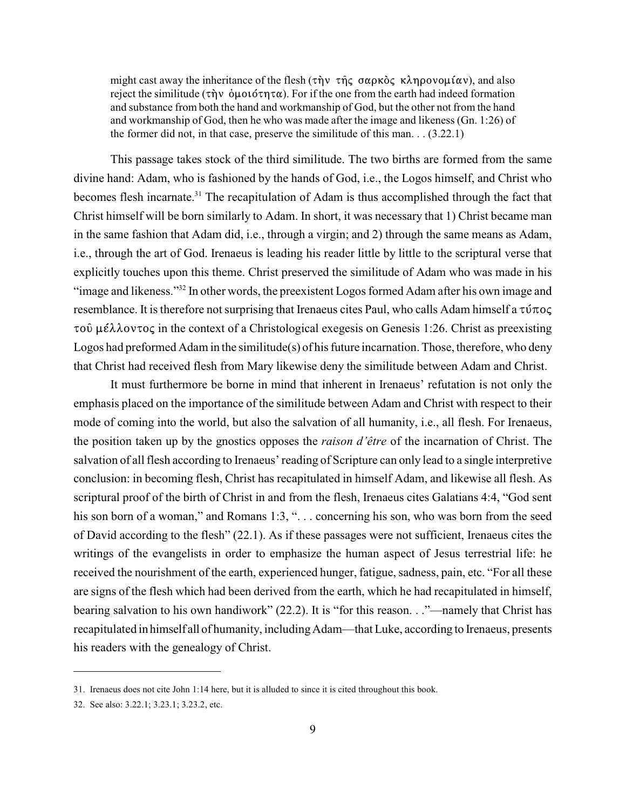might cast away the inheritance of the flesh  $(\tau \dot{\eta} \nu \tau \dot{\eta} \zeta \sigma \alpha \rho \kappa \dot{\delta} \zeta \kappa \lambda \eta \rho \sigma \nu \omega \mu (\alpha \nu)$ , and also reject the similitude ( $\tau \dot{\eta}$   $\dot{\eta}$   $\dot{\eta}$   $\dot{\eta}$   $\dot{\eta}$   $\dot{\eta}$   $\dot{\eta}$ ). For if the one from the earth had indeed formation and substance from both the hand and workmanship of God, but the other not from the hand and workmanship of God, then he who was made after the image and likeness (Gn. 1:26) of the former did not, in that case, preserve the similitude of this man. . . (3.22.1)

This passage takes stock of the third similitude. The two births are formed from the same divine hand: Adam, who is fashioned by the hands of God, i.e., the Logos himself, and Christ who becomes flesh incarnate.<sup>31</sup> The recapitulation of Adam is thus accomplished through the fact that Christ himself will be born similarly to Adam. In short, it was necessary that 1) Christ became man in the same fashion that Adam did, i.e., through a virgin; and 2) through the same means as Adam, i.e., through the art of God. Irenaeus is leading his reader little by little to the scriptural verse that explicitly touches upon this theme. Christ preserved the similitude of Adam who was made in his "image and likeness."<sup>32</sup> In other words, the preexistent Logos formed Adam after his own image and resemblance. It is therefore not surprising that Irenaeus cites Paul, who calls Adam himself a  $\tau \nu \pi o \varsigma$  $\tau$ o  $\hat{\mu}$   $\hat{\mu}$   $\hat{\lambda}$   $\lambda$ ov $\tau$ o $\varsigma$  in the context of a Christological exegesis on Genesis 1:26. Christ as preexisting Logos had preformed Adam in the similitude(s) of his future incarnation. Those, therefore, who deny that Christ had received flesh from Mary likewise deny the similitude between Adam and Christ.

It must furthermore be borne in mind that inherent in Irenaeus' refutation is not only the emphasis placed on the importance of the similitude between Adam and Christ with respect to their mode of coming into the world, but also the salvation of all humanity, i.e., all flesh. For Irenaeus, the position taken up by the gnostics opposes the *raison d'être* of the incarnation of Christ. The salvation of all flesh according to Irenaeus' reading of Scripture can only lead to a single interpretive conclusion: in becoming flesh, Christ has recapitulated in himself Adam, and likewise all flesh. As scriptural proof of the birth of Christ in and from the flesh, Irenaeus cites Galatians 4:4, "God sent his son born of a woman," and Romans 1:3, "... concerning his son, who was born from the seed of David according to the flesh" (22.1). As if these passages were not sufficient, Irenaeus cites the writings of the evangelists in order to emphasize the human aspect of Jesus terrestrial life: he received the nourishment of the earth, experienced hunger, fatigue, sadness, pain, etc. "For all these are signs of the flesh which had been derived from the earth, which he had recapitulated in himself, bearing salvation to his own handiwork" (22.2). It is "for this reason. . ."—namely that Christ has recapitulated in himself all of humanity, including Adam—that Luke, according to Irenaeus, presents his readers with the genealogy of Christ.

<sup>31.</sup> Irenaeus does not cite John 1:14 here, but it is alluded to since it is cited throughout this book.

<sup>32.</sup> See also: 3.22.1; 3.23.1; 3.23.2, etc.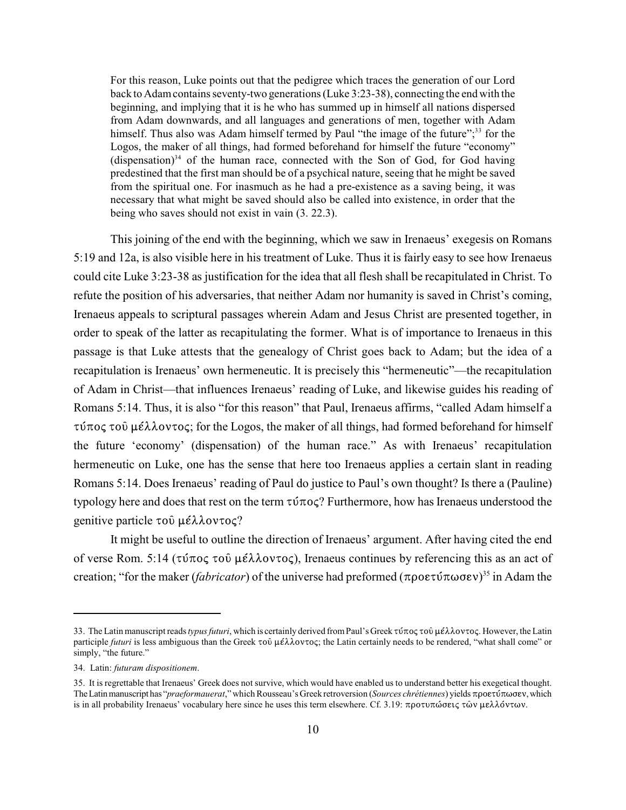For this reason, Luke points out that the pedigree which traces the generation of our Lord back to Adamcontains seventy-two generations (Luke 3:23-38), connecting the end with the beginning, and implying that it is he who has summed up in himself all nations dispersed from Adam downwards, and all languages and generations of men, together with Adam himself. Thus also was Adam himself termed by Paul "the image of the future";<sup>33</sup> for the Logos, the maker of all things, had formed beforehand for himself the future "economy" (dispensation)<sup>34</sup> of the human race, connected with the Son of God, for God having predestined that the first man should be of a psychical nature, seeing that he might be saved from the spiritual one. For inasmuch as he had a pre-existence as a saving being, it was necessary that what might be saved should also be called into existence, in order that the being who saves should not exist in vain (3. 22.3).

This joining of the end with the beginning, which we saw in Irenaeus' exegesis on Romans 5:19 and 12a, is also visible here in his treatment of Luke. Thus it is fairly easy to see how Irenaeus could cite Luke 3:23-38 as justification for the idea that all flesh shall be recapitulated in Christ. To refute the position of his adversaries, that neither Adam nor humanity is saved in Christ's coming, Irenaeus appeals to scriptural passages wherein Adam and Jesus Christ are presented together, in order to speak of the latter as recapitulating the former. What is of importance to Irenaeus in this passage is that Luke attests that the genealogy of Christ goes back to Adam; but the idea of a recapitulation is Irenaeus' own hermeneutic. It is precisely this "hermeneutic"—the recapitulation of Adam in Christ—that influences Irenaeus' reading of Luke, and likewise guides his reading of Romans 5:14. Thus, it is also "for this reason" that Paul, Irenaeus affirms, "called Adam himself a  $\tau$ ύπος τοῦ μέλλοντος; for the Logos, the maker of all things, had formed beforehand for himself the future 'economy' (dispensation) of the human race." As with Irenaeus' recapitulation hermeneutic on Luke, one has the sense that here too Irenaeus applies a certain slant in reading Romans 5:14. Does Irenaeus' reading of Paul do justice to Paul's own thought? Is there a (Pauline) typology here and does that rest on the term  $\tau \nu \pi o \varsigma$ ? Furthermore, how has Irenaeus understood the genitive particle  $\tau \circ \hat{\nu}$  ush  $\lambda \circ \nu \tau \circ \varsigma$ ?

It might be useful to outline the direction of Irenaeus' argument. After having cited the end of verse Rom. 5:14 ( $\tau \tilde{\nu} \pi$ o $\varsigma$   $\tau$ o $\tilde{\nu}$   $\mu \tilde{\epsilon} \lambda \lambda$ ov $\tau$ o $\varsigma$ ), Irenaeus continues by referencing this as an act of creation; "for the maker *(fabricator)* of the universe had preformed  $(\pi \rho o \epsilon \tau \hat{v} \pi \omega \sigma \epsilon v)^{35}$  in Adam the

<sup>33.</sup> The Latin manuscript reads *typus futuri*, which is certainly derived from Paul's Greek τύπος τοῦ μέλλοντος. However, the Latin participle *futuri* is less ambiguous than the Greek τοῦ μέλλοντος; the Latin certainly needs to be rendered, "what shall come" or simply, "the future."

<sup>34.</sup> Latin: *futuram dispositionem*.

<sup>35.</sup> It is regrettable that Irenaeus' Greek does not survive, which would have enabled us to understand better his exegetical thought. The Latin manuscript has "*praeformauerat*," which Rousseau's Greek retroversion (*Sources chrétiennes*) yields προετύπωσεν, which is in all probability Irenaeus' vocabulary here since he uses this term elsewhere. Cf. 3.19:  $\pi$ ροτυπώσεις τῶν μελλόντων.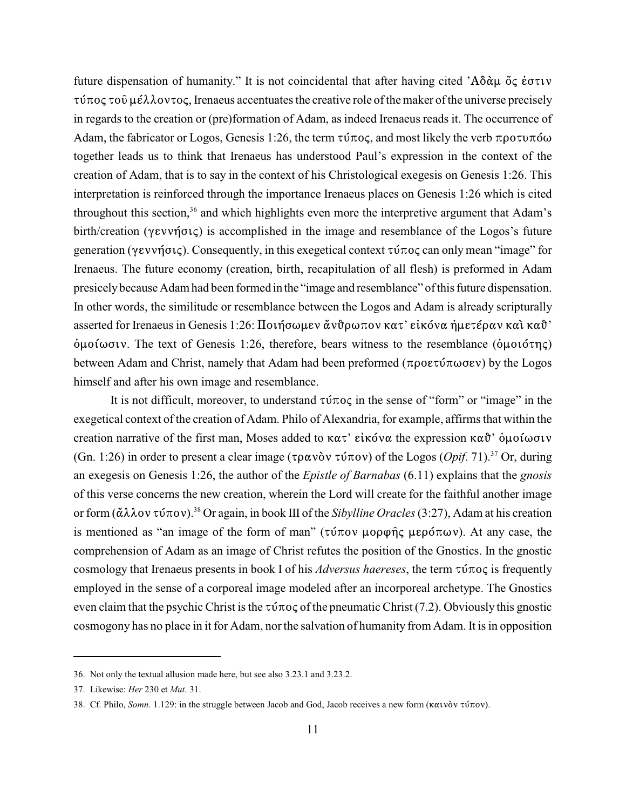future dispensation of humanity." It is not coincidental that after having cited ' $A\delta \alpha \mu$   $\delta \varsigma$  έστιν *JbB@H* J@Ø :X88@<J@H, Irenaeus accentuates the creative role ofthemaker ofthe universe precisely in regards to the creation or (pre)formation of Adam, as indeed Irenaeus reads it. The occurrence of Adam, the fabricator or Logos, Genesis 1:26, the term  $\tau \nu \tau \sigma \varsigma$ , and most likely the verb  $\pi \rho \sigma \tau \nu \pi \sigma \omega$ together leads us to think that Irenaeus has understood Paul's expression in the context of the creation of Adam, that is to say in the context of his Christological exegesis on Genesis 1:26. This interpretation is reinforced through the importance Irenaeus places on Genesis 1:26 which is cited throughout this section,  $36$  and which highlights even more the interpretive argument that Adam's birth/creation ( $\gamma$ evvήσις) is accomplished in the image and resemblance of the Logos's future generation ( $\gamma \epsilon \nu \nu \eta \sigma \iota \zeta$ ). Consequently, in this exegetical context  $\tau \nu \tau \sigma \zeta$  can only mean "image" for Irenaeus. The future economy (creation, birth, recapitulation of all flesh) is preformed in Adam presicely because Adam had been formed in the "image and resemblance" of this future dispensation. In other words, the similitude or resemblance between the Logos and Adam is already scripturally asserted for Irenaeus in Genesis 1:26: Ποιήσωμεν ἄνθρωπον κατ' είκόνα ήμετέραν και καθ'  $\phi$ μοίωσιν. The text of Genesis 1:26, therefore, bears witness to the resemblance ( $\phi$ μοιότης) between Adam and Christ, namely that Adam had been preformed ( $\pi \rho \sigma \epsilon \nu$ ) by the Logos himself and after his own image and resemblance.

It is not difficult, moreover, to understand  $\tau \tilde{\nu} \tau o \tilde{\nu}$  in the sense of "form" or "image" in the exegetical context of the creation of Adam. Philo of Alexandria, for example, affirms that within the creation narrative of the first man, Moses added to  $\kappa \alpha \tau$ ' είκόνα the expression  $\kappa \alpha \vartheta$ ' όμοίωσιν (Gn. 1:26) in order to present a clear image ( $\tau \rho \alpha v \delta v \tau \dot{\nu} \pi \sigma v$ ) of the Logos (*Opif.* 71).<sup>37</sup> Or, during an exegesis on Genesis 1:26, the author of the *Epistle of Barnabas* (6.11) explains that the *gnosis* of this verse concerns the new creation, wherein the Lord will create for the faithful another image or form ( $\alpha \lambda \lambda$ ov  $\tau$ ú $\pi$ ov).<sup>38</sup> Or again, in book III of the *Sibylline Oracles* (3:27), Adam at his creation is mentioned as "an image of the form of man" ( $\tau$ ύπον μορφής μερόπων). At any case, the comprehension of Adam as an image of Christ refutes the position of the Gnostics. In the gnostic cosmology that Irenaeus presents in book I of his *Adversus haereses*, the term  $\tau \tilde{\nu} \pi o \varsigma$  is frequently employed in the sense of a corporeal image modeled after an incorporeal archetype. The Gnostics even claim that the psychic Christ is the  $\tau \nu \pi o \varsigma$  of the pneumatic Christ (7.2). Obviously this gnostic cosmogony has no place in it for Adam, northe salvation of humanity from Adam. It is in opposition

<sup>36.</sup> Not only the textual allusion made here, but see also 3.23.1 and 3.23.2.

<sup>37.</sup> Likewise: *Her* 230 et *Mut*. 31.

<sup>38.</sup> Cf. Philo, *Somn*. 1.129: in the struggle between Jacob and God, Jacob receives a new form (καινὸν τύπον).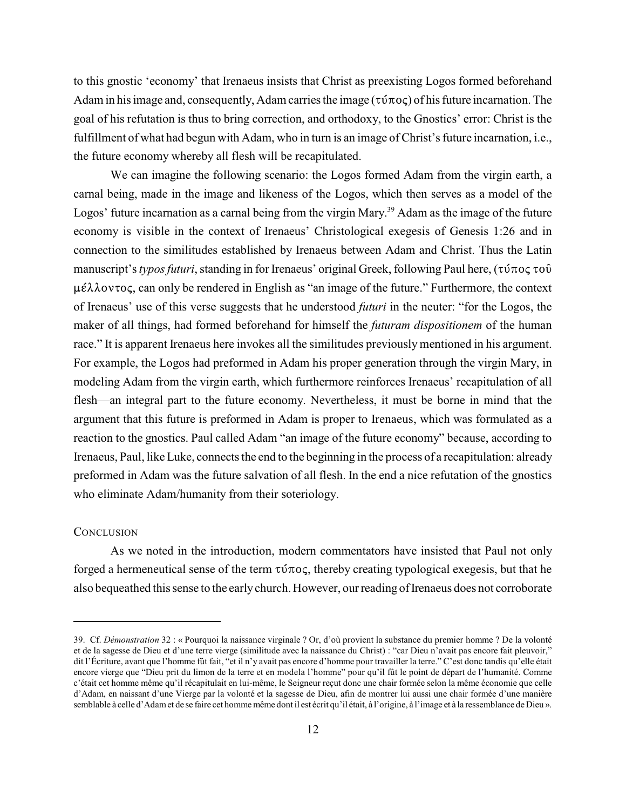to this gnostic 'economy' that Irenaeus insists that Christ as preexisting Logos formed beforehand Adam in his image and, consequently, Adam carries the image  $(\tau \nu \pi o \varsigma)$  of his future incarnation. The goal of his refutation is thus to bring correction, and orthodoxy, to the Gnostics' error: Christ is the fulfillment of what had begun with Adam, who in turn is an image of Christ's future incarnation, i.e., the future economy whereby all flesh will be recapitulated.

We can imagine the following scenario: the Logos formed Adam from the virgin earth, a carnal being, made in the image and likeness of the Logos, which then serves as a model of the Logos' future incarnation as a carnal being from the virgin Mary.<sup>39</sup> Adam as the image of the future economy is visible in the context of Irenaeus' Christological exegesis of Genesis 1:26 and in connection to the similitudes established by Irenaeus between Adam and Christ. Thus the Latin manuscript's *typos futuri*, standing in for Irenaeus' original Greek, following Paul here, (τύπος τοῦ  $\mu \in \lambda \lambda$  ovtoc, can only be rendered in English as "an image of the future." Furthermore, the context of Irenaeus' use of this verse suggests that he understood *futuri* in the neuter: "for the Logos, the maker of all things, had formed beforehand for himself the *futuram dispositionem* of the human race." It is apparent Irenaeus here invokes all the similitudes previously mentioned in his argument. For example, the Logos had preformed in Adam his proper generation through the virgin Mary, in modeling Adam from the virgin earth, which furthermore reinforces Irenaeus' recapitulation of all flesh—an integral part to the future economy. Nevertheless, it must be borne in mind that the argument that this future is preformed in Adam is proper to Irenaeus, which was formulated as a reaction to the gnostics. Paul called Adam "an image of the future economy" because, according to Irenaeus, Paul, like Luke, connects the end to the beginning in the process of a recapitulation: already preformed in Adam was the future salvation of all flesh. In the end a nice refutation of the gnostics who eliminate Adam/humanity from their soteriology.

# **CONCLUSION**

As we noted in the introduction, modern commentators have insisted that Paul not only forged a hermeneutical sense of the term  $\tau \nu \pi o \varsigma$ , thereby creating typological exegesis, but that he also bequeathed this sense to the early church. However, our reading of Irenaeus does not corroborate

<sup>39.</sup> Cf. *Démonstration* 32 : « Pourquoi la naissance virginale ? Or, d'où provient la substance du premier homme ? De la volonté et de la sagesse de Dieu et d'une terre vierge (similitude avec la naissance du Christ) : "car Dieu n'avait pas encore fait pleuvoir," dit l'Écriture, avant que l'homme fût fait, "et il n'y avait pas encore d'homme pour travailler la terre." C'est donc tandis qu'elle était encore vierge que "Dieu prit du limon de la terre et en modela l'homme" pour qu'il fût le point de départ de l'humanité. Comme c'était cet homme même qu'il récapitulait en lui-même, le Seigneur reçut donc une chair formée selon la même économie que celle d'Adam, en naissant d'une Vierge par la volonté et la sagesse de Dieu, afin de montrer lui aussi une chair formée d'une manière semblable à celle d'Adam et de se faire cet homme même dont il est écrit qu'il était, à l'origine, à l'image et à la ressemblance de Dieu ».